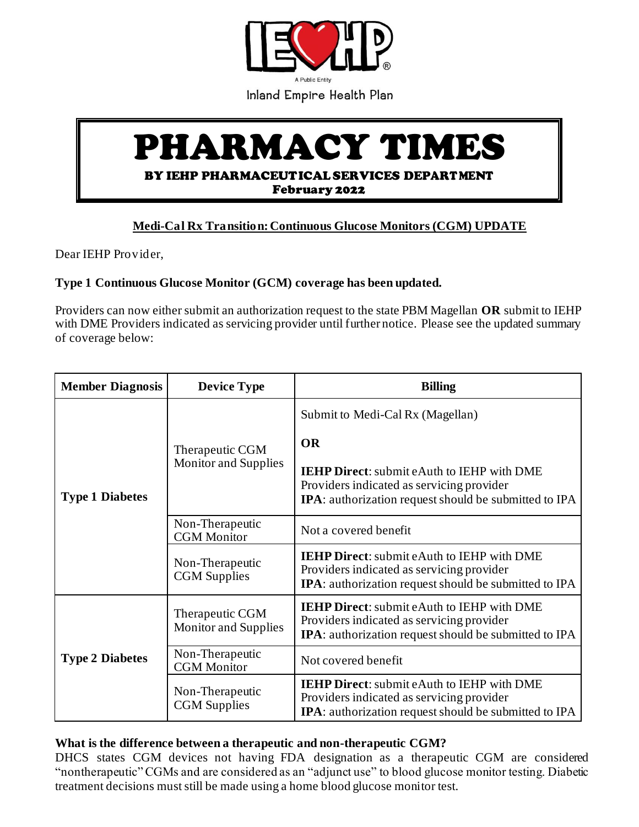

Inland Empire Health Plan

## PHARMACY TIMES BY IEHP PHARMACEUTICAL SERVICES DEPARTMENT February 2022

## **Medi-Cal Rx Transition:Continuous Glucose Monitors (CGM) UPDATE**

Dear IEHP Provider,

## **Type 1 Continuous Glucose Monitor (GCM) coverage has been updated.**

Providers can now either submit an authorization request to the state PBM Magellan **OR** submit to IEHP with DME Providers indicated as servicing provider until further notice. Please see the updated summary of coverage below:

| <b>Member Diagnosis</b> | <b>Device Type</b>                             | <b>Billing</b>                                                                                                                                                  |
|-------------------------|------------------------------------------------|-----------------------------------------------------------------------------------------------------------------------------------------------------------------|
| <b>Type 1 Diabetes</b>  | Therapeutic CGM<br><b>Monitor and Supplies</b> | Submit to Medi-Cal Rx (Magellan)                                                                                                                                |
|                         |                                                | <b>OR</b>                                                                                                                                                       |
|                         |                                                | <b>IEHP Direct:</b> submit eAuth to IEHP with DME<br>Providers indicated as servicing provider<br>IPA: authorization request should be submitted to IPA         |
|                         | Non-Therapeutic<br><b>CGM</b> Monitor          | Not a covered benefit                                                                                                                                           |
|                         | Non-Therapeutic<br><b>CGM</b> Supplies         | <b>IEHP Direct:</b> submit eAuth to IEHP with DME<br>Providers indicated as servicing provider<br><b>IPA</b> : authorization request should be submitted to IPA |
| <b>Type 2 Diabetes</b>  | Therapeutic CGM<br><b>Monitor and Supplies</b> | <b>IEHP Direct:</b> submit eAuth to IEHP with DME<br>Providers indicated as servicing provider<br><b>IPA</b> : authorization request should be submitted to IPA |
|                         | Non-Therapeutic<br><b>CGM</b> Monitor          | Not covered benefit                                                                                                                                             |
|                         | Non-Therapeutic<br><b>CGM</b> Supplies         | <b>IEHP Direct:</b> submit eAuth to IEHP with DME<br>Providers indicated as servicing provider<br><b>IPA</b> : authorization request should be submitted to IPA |

## **What is the difference between a therapeutic and non-therapeutic CGM?**

DHCS states CGM devices not having FDA designation as a therapeutic CGM are considered "nontherapeutic" CGMs and are considered as an "adjunct use" to blood glucose monitor testing. Diabetic treatment decisions must still be made using a home blood glucose monitor test.